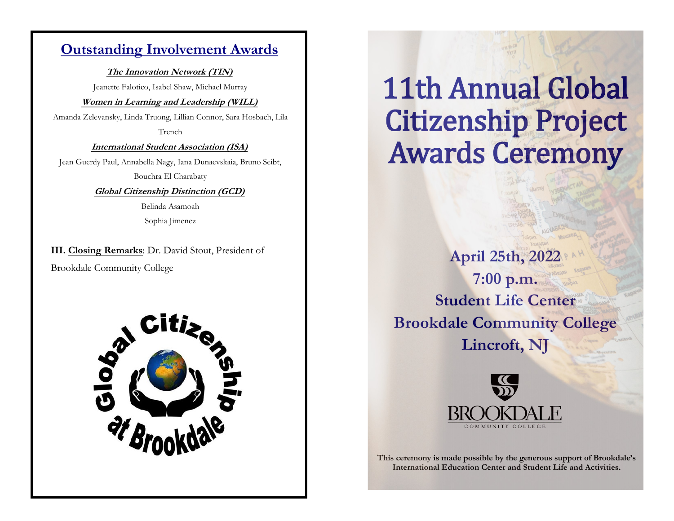# **Outstanding Involvement Awards**

**The Innovation Network (TIN)**

Jeanette Falotico, Isabel Shaw, Michael Murray

#### **Women in Learning and Leadership (WILL)**

Amanda Zelevansky, Linda Truong, Lillian Connor, Sara Hosbach, Lila Trench

**International Student Association (ISA)**

Jean Guerdy Paul, Annabella Nagy, Iana Dunaevskaia, Bruno Seibt, Bouchra El Charabaty

**Global Citizenship Distinction (GCD)**

Belinda Asamoah Sophia Jimenez

**III. Closing Remarks**: Dr. David Stout, President of Brookdale Community College



11th Annual Global Citizenship Project Awards Ceremony

**April 25th, 2022 7:00 p.m. Student Life Center Brookdale Community College Lincroft, NJ**



**This ceremony is made possible by the generous support of Brookdale's International Education Center and Student Life and Activities.**